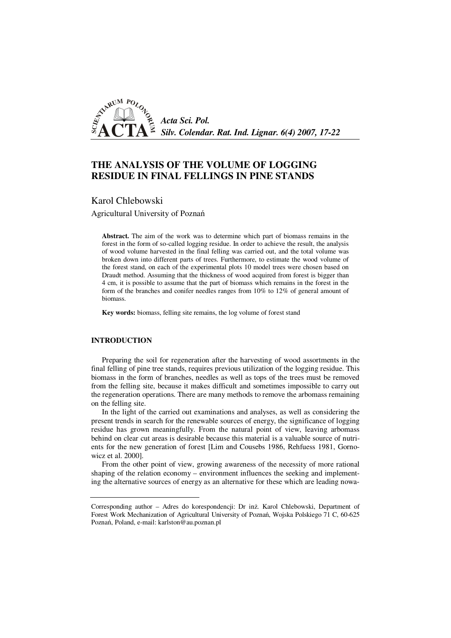

# **THE ANALYSIS OF THE VOLUME OF LOGGING RESIDUE IN FINAL FELLINGS IN PINE STANDS**

Karol Chlebowski

Agricultural University of Poznań

**Abstract.** The aim of the work was to determine which part of biomass remains in the forest in the form of so-called logging residue. In order to achieve the result, the analysis of wood volume harvested in the final felling was carried out, and the total volume was broken down into different parts of trees. Furthermore, to estimate the wood volume of the forest stand, on each of the experimental plots 10 model trees were chosen based on Draudt method. Assuming that the thickness of wood acquired from forest is bigger than 4 cm, it is possible to assume that the part of biomass which remains in the forest in the form of the branches and conifer needles ranges from 10% to 12% of general amount of biomass.

**Key words:** biomass, felling site remains, the log volume of forest stand

# **INTRODUCTION**

Preparing the soil for regeneration after the harvesting of wood assortments in the final felling of pine tree stands, requires previous utilization of the logging residue. This biomass in the form of branches, needles as well as tops of the trees must be removed from the felling site, because it makes difficult and sometimes impossible to carry out the regeneration operations. There are many methods to remove the arbomass remaining on the felling site.

In the light of the carried out examinations and analyses, as well as considering the present trends in search for the renewable sources of energy, the significance of logging residue has grown meaningfully. From the natural point of view, leaving arbomass behind on clear cut areas is desirable because this material is a valuable source of nutrients for the new generation of forest [Lim and Cousebs 1986, Rehfuess 1981, Gornowicz et al. 2000].

From the other point of view, growing awareness of the necessity of more rational shaping of the relation economy – environment influences the seeking and implementing the alternative sources of energy as an alternative for these which are leading nowa-

Corresponding author – Adres do korespondencji: Dr inż. Karol Chlebowski, Department of Forest Work Mechanization of Agricultural University of Poznań, Wojska Polskiego 71 C, 60-625 Poznań, Poland, e-mail: karlston@au.poznan.pl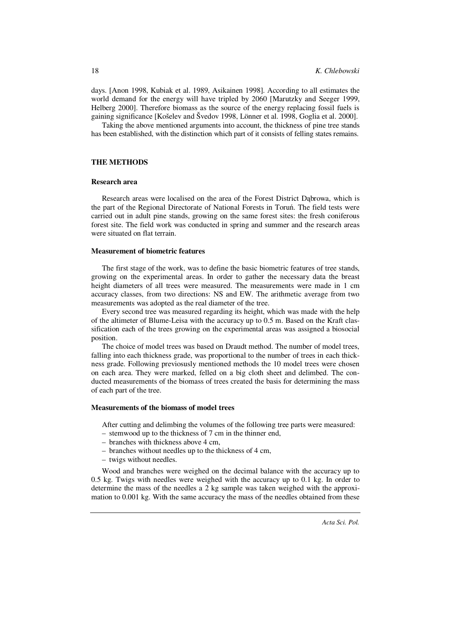days. [Anon 1998, Kubiak et al. 1989, Asikainen 1998]. According to all estimates the world demand for the energy will have tripled by 2060 [Marutzky and Seeger 1999, Helberg 2000]. Therefore biomass as the source of the energy replacing fossil fuels is gaining significance [Košelev and Švedov 1998, Lönner et al. 1998, Goglia et al. 2000].

Taking the above mentioned arguments into account, the thickness of pine tree stands has been established, with the distinction which part of it consists of felling states remains.

# **THE METHODS**

# **Research area**

Research areas were localised on the area of the Forest District Dąbrowa, which is the part of the Regional Directorate of National Forests in Toruń. The field tests were carried out in adult pine stands, growing on the same forest sites: the fresh coniferous forest site. The field work was conducted in spring and summer and the research areas were situated on flat terrain.

## **Measurement of biometric features**

The first stage of the work, was to define the basic biometric features of tree stands, growing on the experimental areas. In order to gather the necessary data the breast height diameters of all trees were measured. The measurements were made in 1 cm accuracy classes, from two directions: NS and EW. The arithmetic average from two measurements was adopted as the real diameter of the tree.

Every second tree was measured regarding its height, which was made with the help of the altimeter of Blume-Leisa with the accuracy up to 0.5 m. Based on the Kraft classification each of the trees growing on the experimental areas was assigned a biosocial position.

The choice of model trees was based on Draudt method. The number of model trees, falling into each thickness grade, was proportional to the number of trees in each thickness grade. Following previosusly mentioned methods the 10 model trees were chosen on each area. They were marked, felled on a big cloth sheet and delimbed. The conducted measurements of the biomass of trees created the basis for determining the mass of each part of the tree.

# **Measurements of the biomass of model trees**

After cutting and delimbing the volumes of the following tree parts were measured:

- stemwood up to the thickness of 7 cm in the thinner end,
- branches with thickness above 4 cm,
- branches without needles up to the thickness of 4 cm,
- twigs without needles.

Wood and branches were weighed on the decimal balance with the accuracy up to 0.5 kg. Twigs with needles were weighed with the accuracy up to 0.1 kg. In order to determine the mass of the needles a 2 kg sample was taken weighed with the approximation to 0.001 kg. With the same accuracy the mass of the needles obtained from these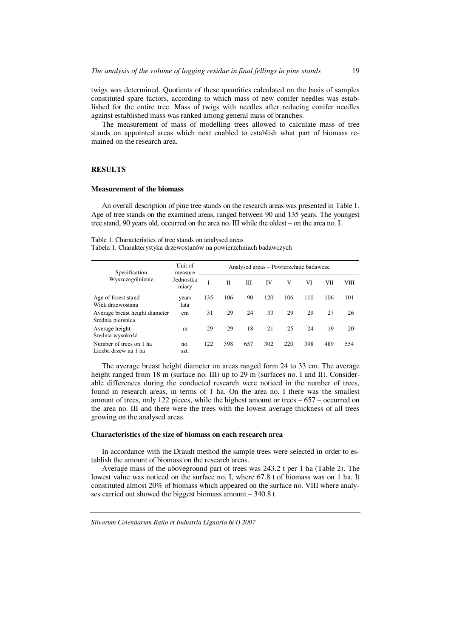twigs was determined. Quotients of these quantities calculated on the basis of samples constituted spare factors, according to which mass of new conifer needles was established for the entire tree. Mass of twigs with needles after reducing conifer needles against established mass was ranked among general mass of branches.

The measurement of mass of modelling trees allowed to calculate mass of tree stands on appointed areas which next enabled to establish what part of biomass remained on the research area.

# **RESULTS**

#### **Measurement of the biomass**

An overall description of pine tree stands on the research areas was presented in Table 1. Age of tree stands on the examined areas, ranged between 90 and 135 years. The youngest tree stand, 90 years old, occurred on the area no. III while the oldest – on the area no. I.

Table 1. Characteristics of tree stands on analysed areas

Tabela 1. Charakterystyka drzewostanów na powierzchniach badawczych

| Specification<br>Wyszczególnienie                   | Unit of<br>measure<br>Jednostka<br>miary | Analysed areas – Powierzchnie badawcze |     |     |     |     |     |     |     |  |
|-----------------------------------------------------|------------------------------------------|----------------------------------------|-----|-----|-----|-----|-----|-----|-----|--|
|                                                     |                                          | Ī                                      | П   | Ш   | IV  | V   | VI  | VІІ | VШ  |  |
| Age of forest stand<br>Wiek drzewostanu             | years<br>lata                            | 135                                    | 106 | 90  | 120 | 106 | 110 | 106 | 101 |  |
| Average breast height diameter<br>Średnia pierśnica | cm                                       | 31                                     | 29  | 24  | 33  | 29  | 29  | 27  | 26  |  |
| Average height<br>Średnia wysokość                  | m                                        | 29                                     | 29  | 18  | 21  | 25  | 24  | 19  | 20  |  |
| Number of trees on 1 ha<br>Liczba drzew na 1 ha     | no.<br>szt.                              | 122                                    | 398 | 657 | 302 | 220 | 398 | 489 | 554 |  |

The average breast height diameter on areas ranged form 24 to 33 cm. The average height ranged from 18 m (surface no. III) up to 29 m (surfaces no. I and II). Considerable differences during the conducted research were noticed in the number of trees, found in research areas, in terms of 1 ha. On the area no. I there was the smallest amount of trees, only 122 pieces, while the highest amount or trees – 657 – occurred on the area no. III and there were the trees with the lowest average thickness of all trees growing on the analysed areas.

## **Characteristics of the size of biomass on each research area**

In accordance with the Draudt method the sample trees were selected in order to establish the amount of biomass on the research areas.

Average mass of the aboveground part of trees was 243.2 t per 1 ha (Table 2). The lowest value was noticed on the surface no. I, where 67.8 t of biomass was on 1 ha. It constituted almost 20% of biomass which appeared on the surface no. VIII where analyses carried out showed the biggest biomass amount – 340.8 t.

*Silvarum Colendarum Ratio et Industria Lignaria 6(4) 2007*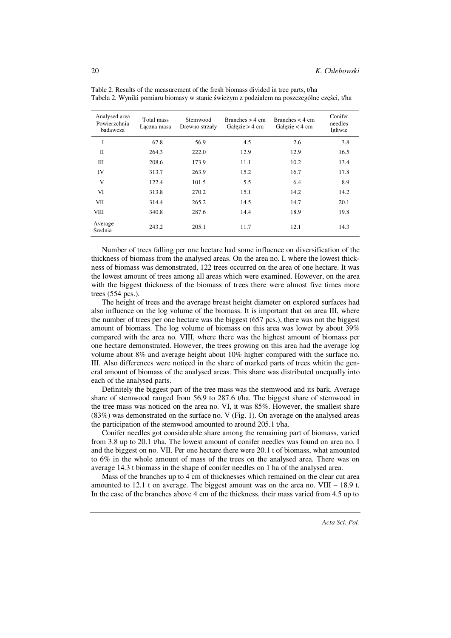| Analysed area<br>Powierzchnia<br>badawcza | Total mass<br>Łaczna masa | Stemwood<br>Drewno strzały | Branches $> 4$ cm<br>Gałęzie > $4 \text{ cm}$ | Branches $< 4 \text{ cm}$<br>Gałęzie < $4 \text{ cm}$ | Conifer<br>needles<br>Igliwie |  |
|-------------------------------------------|---------------------------|----------------------------|-----------------------------------------------|-------------------------------------------------------|-------------------------------|--|
| T                                         | 67.8                      | 56.9                       | 4.5                                           | 2.6                                                   | 3.8                           |  |
| П                                         | 264.3                     | 222.0                      | 12.9                                          | 12.9                                                  | 16.5                          |  |
| Ш                                         | 208.6                     | 173.9                      | 11.1                                          | 10.2                                                  | 13.4                          |  |
| IV                                        | 313.7                     | 263.9                      | 15.2                                          | 16.7                                                  | 17.8                          |  |
| V                                         | 122.4                     | 101.5                      | 5.5                                           | 6.4                                                   | 8.9                           |  |
| VI                                        | 313.8                     | 270.2                      | 15.1                                          | 14.2                                                  | 14.2                          |  |
| VII                                       | 314.4                     | 265.2                      | 14.5                                          | 14.7                                                  | 20.1                          |  |
| VШ                                        | 340.8                     | 287.6                      | 14.4                                          | 18.9                                                  | 19.8                          |  |
| Average<br>Średnia                        | 243.2                     | 205.1                      | 11.7                                          | 12.1                                                  | 14.3                          |  |

Table 2. Results of the measurement of the fresh biomass divided in tree parts, t/ha Tabela 2. Wyniki pomiaru biomasy w stanie świeżym z podziałem na poszczególne części, t/ha

Number of trees falling per one hectare had some influence on diversification of the thickness of biomass from the analysed areas. On the area no. I, where the lowest thickness of biomass was demonstrated, 122 trees occurred on the area of one hectare. It was the lowest amount of trees among all areas which were examined. However, on the area with the biggest thickness of the biomass of trees there were almost five times more trees (554 pcs.).

The height of trees and the average breast height diameter on explored surfaces had also influence on the log volume of the biomass. It is important that on area III, where the number of trees per one hectare was the biggest (657 pcs.), there was not the biggest amount of biomass. The log volume of biomass on this area was lower by about 39% compared with the area no. VIII, where there was the highest amount of biomass per one hectare demonstrated. However, the trees growing on this area had the average log volume about 8% and average height about 10% higher compared with the surface no. III. Also differences were noticed in the share of marked parts of trees whitin the general amount of biomass of the analysed areas. This share was distributed unequally into each of the analysed parts.

Definitely the biggest part of the tree mass was the stemwood and its bark. Average share of stemwood ranged from 56.9 to 287.6 t/ha. The biggest share of stemwood in the tree mass was noticed on the area no. VI, it was 85%. However, the smallest share (83%) was demonstrated on the surface no. V (Fig. 1). On average on the analysed areas the participation of the stemwood amounted to around 205.1 t/ha.

Conifer needles got considerable share among the remaining part of biomass, varied from 3.8 up to 20.1 t/ha. The lowest amount of conifer needles was found on area no. I and the biggest on no. VII. Per one hectare there were 20.1 t of biomass, what amounted to 6% in the whole amount of mass of the trees on the analysed area. There was on average 14.3 t biomass in the shape of conifer needles on 1 ha of the analysed area.

Mass of the branches up to 4 cm of thicknesses which remained on the clear cut area amounted to 12.1 t on average. The biggest amount was on the area no. VIII – 18.9 t. In the case of the branches above 4 cm of the thickness, their mass varied from 4.5 up to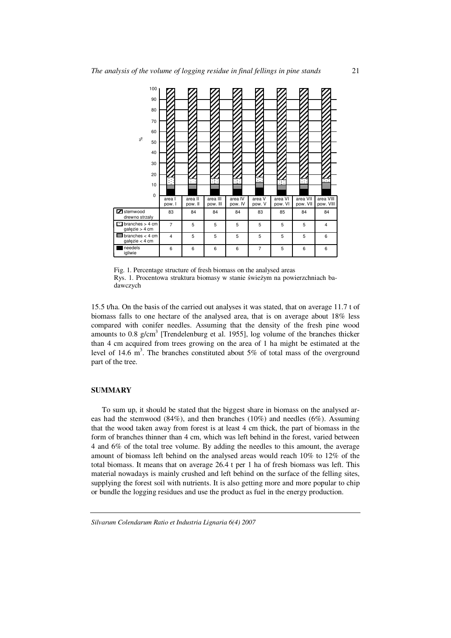|                | 100<br>90                                                                                                                                                                                                                                                                                                                                                                                                                                                                                                                                                                                                                                                                                                                                                                               |                      |         |          |         |         |         |          |           |  |
|----------------|-----------------------------------------------------------------------------------------------------------------------------------------------------------------------------------------------------------------------------------------------------------------------------------------------------------------------------------------------------------------------------------------------------------------------------------------------------------------------------------------------------------------------------------------------------------------------------------------------------------------------------------------------------------------------------------------------------------------------------------------------------------------------------------------|----------------------|---------|----------|---------|---------|---------|----------|-----------|--|
|                | 80                                                                                                                                                                                                                                                                                                                                                                                                                                                                                                                                                                                                                                                                                                                                                                                      |                      |         |          |         |         |         |          |           |  |
|                | 70<br>60                                                                                                                                                                                                                                                                                                                                                                                                                                                                                                                                                                                                                                                                                                                                                                                |                      |         |          |         |         |         |          |           |  |
|                | న్<br>50                                                                                                                                                                                                                                                                                                                                                                                                                                                                                                                                                                                                                                                                                                                                                                                |                      |         |          |         |         |         |          |           |  |
|                | 40                                                                                                                                                                                                                                                                                                                                                                                                                                                                                                                                                                                                                                                                                                                                                                                      |                      |         |          |         |         |         |          |           |  |
|                | 30                                                                                                                                                                                                                                                                                                                                                                                                                                                                                                                                                                                                                                                                                                                                                                                      |                      |         |          |         |         |         |          |           |  |
|                | 20<br>10                                                                                                                                                                                                                                                                                                                                                                                                                                                                                                                                                                                                                                                                                                                                                                                |                      |         |          |         | Η.      |         |          |           |  |
|                | 0                                                                                                                                                                                                                                                                                                                                                                                                                                                                                                                                                                                                                                                                                                                                                                                       | area I               | area II | area III | area IV | area V  | area VI | area VII | area VIII |  |
|                | Stemwood                                                                                                                                                                                                                                                                                                                                                                                                                                                                                                                                                                                                                                                                                                                                                                                | pow. I               | pow. II | pow. III | pow. IV | pow. V  | pow. VI | pow. VII | pow. VIII |  |
|                | drewno strzały<br>$\Box$ branches > 4 cm                                                                                                                                                                                                                                                                                                                                                                                                                                                                                                                                                                                                                                                                                                                                                | 83<br>$\overline{7}$ | 84<br>5 | 84<br>5  | 84<br>5 | 83<br>5 | 85<br>5 | 84<br>5  | 84<br>4   |  |
|                | gałęzie > 4 cm<br>$\blacksquare$ branches < 4 cm                                                                                                                                                                                                                                                                                                                                                                                                                                                                                                                                                                                                                                                                                                                                        | 4                    | 5       | 5        | 5       | 5       | 5       | 5        | 6         |  |
|                | gałęzie < 4 cm<br>needels                                                                                                                                                                                                                                                                                                                                                                                                                                                                                                                                                                                                                                                                                                                                                               | 6                    | 6       | 6        | 6       | 7       | 5       | 6        | 6         |  |
|                | igliwie                                                                                                                                                                                                                                                                                                                                                                                                                                                                                                                                                                                                                                                                                                                                                                                 |                      |         |          |         |         |         |          |           |  |
|                | 15.5 t/ha. On the basis of the carried out analyses it was stated, that on average 11.7<br>biomass falls to one hectare of the analysed area, that is on average about 18%<br>compared with conifer needles. Assuming that the density of the fresh pine v<br>amounts to 0.8 g/cm <sup>3</sup> [Trendelenburg et al. 1955], log volume of the branches th<br>than 4 cm acquired from trees growing on the area of 1 ha might be estimated a<br>level of 14.6 m <sup>3</sup> . The branches constituted about 5% of total mass of the overgro<br>part of the tree.                                                                                                                                                                                                                       |                      |         |          |         |         |         |          |           |  |
| <b>SUMMARY</b> |                                                                                                                                                                                                                                                                                                                                                                                                                                                                                                                                                                                                                                                                                                                                                                                         |                      |         |          |         |         |         |          |           |  |
|                | To sum up, it should be stated that the biggest share in biomass on the analyse<br>eas had the stemwood (84%), and then branches (10%) and needles (6%). Assur<br>that the wood taken away from forest is at least 4 cm thick, the part of biomass in<br>form of branches thinner than 4 cm, which was left behind in the forest, varied bety<br>4 and 6% of the total tree volume. By adding the needles to this amount, the ave<br>amount of biomass left behind on the analysed areas would reach 10% to 12% o<br>total biomass. It means that on average 26.4 t per 1 ha of fresh biomass was left.<br>material nowadays is mainly crushed and left behind on the surface of the felling a<br>supplying the forest soil with nutrients. It is also getting more and more popular to |                      |         |          |         |         |         |          |           |  |

Fig. 1. Percentage structure of fresh biomass on the analysed areas Rys. 1. Procentowa struktura biomasy w stanie świeżym na powierzchniach badawczych

15.5 t/ha. On the basis of the carried out analyses it was stated, that on average 11.7 t of biomass falls to one hectare of the analysed area, that is on average about 18% less compared with conifer needles. Assuming that the density of the fresh pine wood amounts to  $0.8 \text{ g/cm}^3$  [Trendelenburg et al. 1955], log volume of the branches thicker than 4 cm acquired from trees growing on the area of 1 ha might be estimated at the level of 14.6  $m<sup>3</sup>$ . The branches constituted about 5% of total mass of the overground part of the tree.

## **SUMMARY**

To sum up, it should be stated that the biggest share in biomass on the analysed areas had the stemwood  $(84%)$ , and then branches  $(10%)$  and needles  $(6%)$ . Assuming that the wood taken away from forest is at least 4 cm thick, the part of biomass in the form of branches thinner than 4 cm, which was left behind in the forest, varied between 4 and 6% of the total tree volume. By adding the needles to this amount, the average amount of biomass left behind on the analysed areas would reach 10% to 12% of the total biomass. It means that on average 26.4 t per 1 ha of fresh biomass was left. This material nowadays is mainly crushed and left behind on the surface of the felling sites, supplying the forest soil with nutrients. It is also getting more and more popular to chip